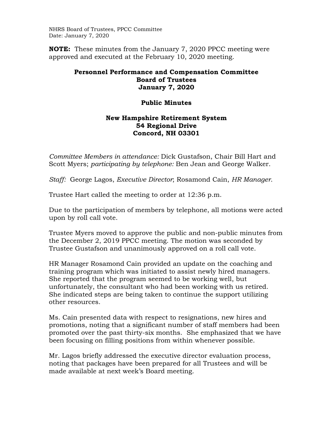NHRS Board of Trustees, PPCC Committee Date: January 7, 2020

**NOTE:** These minutes from the January 7, 2020 PPCC meeting were approved and executed at the February 10, 2020 meeting.

## **Personnel Performance and Compensation Committee Board of Trustees January 7, 2020**

## **Public Minutes**

## **New Hampshire Retirement System 54 Regional Drive Concord, NH 03301**

*Committee Members in attendance:* Dick Gustafson, Chair Bill Hart and Scott Myers; *participating by telephone:* Ben Jean and George Walker.

*Staff:* George Lagos, *Executive Director*; Rosamond Cain, *HR Manager*.

Trustee Hart called the meeting to order at 12:36 p.m.

Due to the participation of members by telephone, all motions were acted upon by roll call vote.

Trustee Myers moved to approve the public and non-public minutes from the December 2, 2019 PPCC meeting. The motion was seconded by Trustee Gustafson and unanimously approved on a roll call vote.

HR Manager Rosamond Cain provided an update on the coaching and training program which was initiated to assist newly hired managers. She reported that the program seemed to be working well, but unfortunately, the consultant who had been working with us retired. She indicated steps are being taken to continue the support utilizing other resources.

Ms. Cain presented data with respect to resignations, new hires and promotions, noting that a significant number of staff members had been promoted over the past thirty-six months. She emphasized that we have been focusing on filling positions from within whenever possible.

Mr. Lagos briefly addressed the executive director evaluation process, noting that packages have been prepared for all Trustees and will be made available at next week's Board meeting.